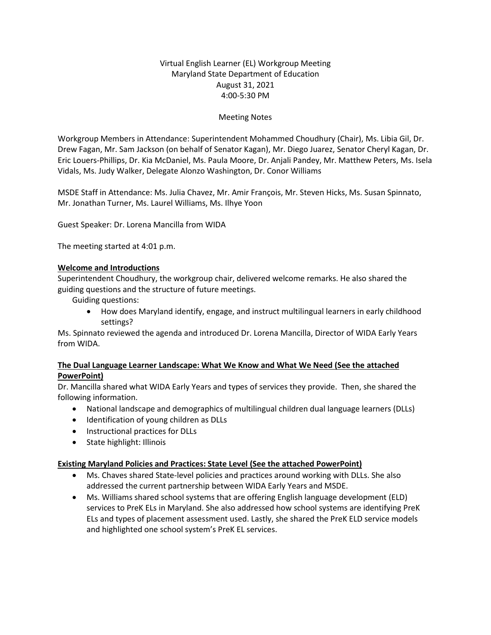# Virtual English Learner (EL) Workgroup Meeting Maryland State Department of Education August 31, 2021 4:00-5:30 PM

# Meeting Notes

Workgroup Members in Attendance: Superintendent Mohammed Choudhury (Chair), Ms. Libia Gil, Dr. Drew Fagan, Mr. Sam Jackson (on behalf of Senator Kagan), Mr. Diego Juarez, Senator Cheryl Kagan, Dr. Eric Louers-Phillips, Dr. Kia McDaniel, Ms. Paula Moore, Dr. Anjali Pandey, Mr. Matthew Peters, Ms. Isela Vidals, Ms. Judy Walker, Delegate Alonzo Washington, Dr. Conor Williams

MSDE Staff in Attendance: Ms. Julia Chavez, Mr. Amir François, Mr. Steven Hicks, Ms. Susan Spinnato, Mr. Jonathan Turner, Ms. Laurel Williams, Ms. Ilhye Yoon

Guest Speaker: Dr. Lorena Mancilla from WIDA

The meeting started at 4:01 p.m.

#### **Welcome and Introductions**

Superintendent Choudhury, the workgroup chair, delivered welcome remarks. He also shared the guiding questions and the structure of future meetings.

Guiding questions:

• How does Maryland identify, engage, and instruct multilingual learners in early childhood settings?

Ms. Spinnato reviewed the agenda and introduced Dr. Lorena Mancilla, Director of WIDA Early Years from WIDA.

# **The Dual Language Learner Landscape: What We Know and What We Need (See the attached PowerPoint)**

Dr. Mancilla shared what WIDA Early Years and types of services they provide. Then, she shared the following information.

- National landscape and demographics of multilingual children dual language learners (DLLs)
- Identification of young children as DLLs
- Instructional practices for DLLs
- State highlight: Illinois

### **Existing Maryland Policies and Practices: State Level (See the attached PowerPoint)**

- Ms. Chaves shared State-level policies and practices around working with DLLs. She also addressed the current partnership between WIDA Early Years and MSDE.
- Ms. Williams shared school systems that are offering English language development (ELD) services to PreK ELs in Maryland. She also addressed how school systems are identifying PreK ELs and types of placement assessment used. Lastly, she shared the PreK ELD service models and highlighted one school system's PreK EL services.